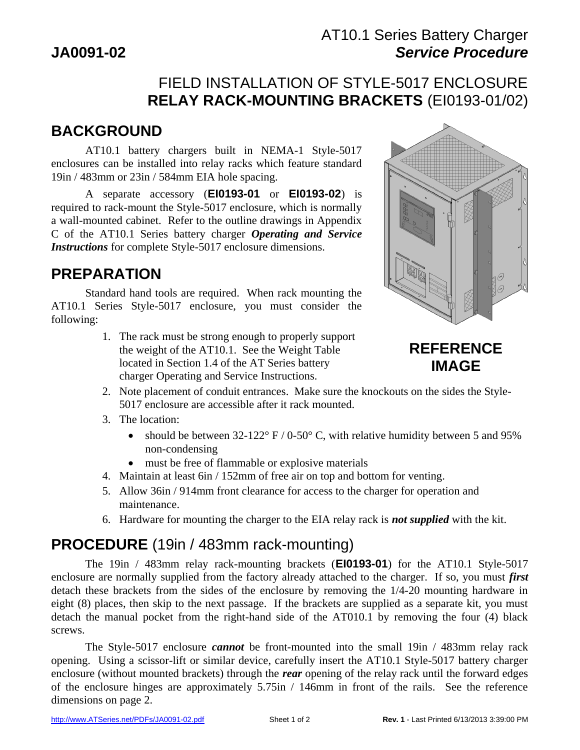# AT10.1 Series Battery Charger **JA0091-02 Service Procedure**

# FIELD INSTALLATION OF STYLE-5017 ENCLOSURE **RELAY RACK-MOUNTING BRACKETS** (EI0193-01/02)

# **BACKGROUND**

 AT10.1 battery chargers built in NEMA-1 Style-5017 enclosures can be installed into relay racks which feature standard 19in / 483mm or 23in / 584mm EIA hole spacing.

 A separate accessory (**EI0193-01** or **EI0193-02**) is required to rack-mount the Style-5017 enclosure, which is normally a wall-mounted cabinet. Refer to the outline drawings in Appendix C of the AT10.1 Series battery charger *Operating and Service Instructions* for complete Style-5017 enclosure dimensions.

# **PREPARATION**

 Standard hand tools are required. When rack mounting the AT10.1 Series Style-5017 enclosure, you must consider the following:

> 1. The rack must be strong enough to properly support the weight of the AT10.1. See the Weight Table located in Section 1.4 of the AT Series battery charger Operating and Service Instructions.



# **REFERENCE IMAGE**

- 2. Note placement of conduit entrances. Make sure the knockouts on the sides the Style-5017 enclosure are accessible after it rack mounted.
- 3. The location:
	- should be between  $32-122^{\circ}$  F / 0-50° C, with relative humidity between 5 and 95% non-condensing
	- must be free of flammable or explosive materials
- 4. Maintain at least 6in / 152mm of free air on top and bottom for venting.
- 5. Allow 36in / 914mm front clearance for access to the charger for operation and maintenance.
- 6. Hardware for mounting the charger to the EIA relay rack is *not supplied* with the kit.

### **PROCEDURE** (19in / 483mm rack-mounting)

 The 19in / 483mm relay rack-mounting brackets (**EI0193-01**) for the AT10.1 Style-5017 enclosure are normally supplied from the factory already attached to the charger. If so, you must *first* detach these brackets from the sides of the enclosure by removing the 1/4-20 mounting hardware in eight (8) places, then skip to the next passage. If the brackets are supplied as a separate kit, you must detach the manual pocket from the right-hand side of the AT010.1 by removing the four (4) black screws.

 The Style-5017 enclosure *cannot* be front-mounted into the small 19in / 483mm relay rack opening. Using a scissor-lift or similar device, carefully insert the AT10.1 Style-5017 battery charger enclosure (without mounted brackets) through the *rear* opening of the relay rack until the forward edges of the enclosure hinges are approximately 5.75in / 146mm in front of the rails. See the reference dimensions on page 2.